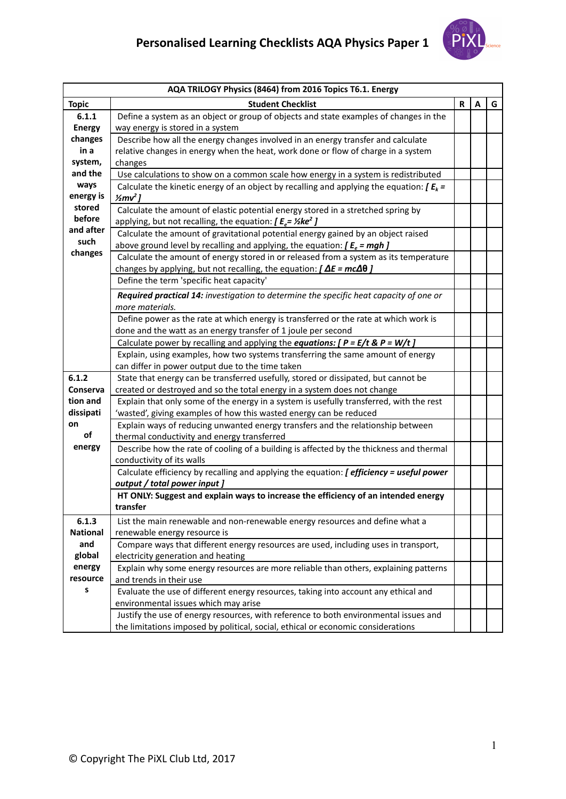

|                 | AQA TRILOGY Physics (8464) from 2016 Topics T6.1. Energy                                       |   |   |   |  |
|-----------------|------------------------------------------------------------------------------------------------|---|---|---|--|
| <b>Topic</b>    | <b>Student Checklist</b>                                                                       | R | A | G |  |
| 6.1.1           | Define a system as an object or group of objects and state examples of changes in the          |   |   |   |  |
| <b>Energy</b>   | way energy is stored in a system                                                               |   |   |   |  |
| changes         | Describe how all the energy changes involved in an energy transfer and calculate               |   |   |   |  |
| in a            | relative changes in energy when the heat, work done or flow of charge in a system              |   |   |   |  |
| system,         | changes                                                                                        |   |   |   |  |
| and the         | Use calculations to show on a common scale how energy in a system is redistributed             |   |   |   |  |
| ways            | Calculate the kinetic energy of an object by recalling and applying the equation: $\int E_k =$ |   |   |   |  |
| energy is       | $\frac{1}{2}mv^2$ ]                                                                            |   |   |   |  |
| stored          | Calculate the amount of elastic potential energy stored in a stretched spring by               |   |   |   |  |
| before          | applying, but not recalling, the equation: $[ E_e = \frac{1}{2} \text{ke}^2 ]$                 |   |   |   |  |
| and after       | Calculate the amount of gravitational potential energy gained by an object raised              |   |   |   |  |
| such            | above ground level by recalling and applying, the equation: $\int E_e = mgh$ ]                 |   |   |   |  |
| changes         | Calculate the amount of energy stored in or released from a system as its temperature          |   |   |   |  |
|                 | changes by applying, but not recalling, the equation: $\int \Delta E = mc \Delta \theta$ ]     |   |   |   |  |
|                 | Define the term 'specific heat capacity'                                                       |   |   |   |  |
|                 | Required practical 14: investigation to determine the specific heat capacity of one or         |   |   |   |  |
|                 | more materials.                                                                                |   |   |   |  |
|                 | Define power as the rate at which energy is transferred or the rate at which work is           |   |   |   |  |
|                 | done and the watt as an energy transfer of 1 joule per second                                  |   |   |   |  |
|                 | Calculate power by recalling and applying the equations: $[ P = E/t \& P = W/t ]$              |   |   |   |  |
|                 | Explain, using examples, how two systems transferring the same amount of energy                |   |   |   |  |
|                 | can differ in power output due to the time taken                                               |   |   |   |  |
| 6.1.2           | State that energy can be transferred usefully, stored or dissipated, but cannot be             |   |   |   |  |
| Conserva        | created or destroyed and so the total energy in a system does not change                       |   |   |   |  |
| tion and        | Explain that only some of the energy in a system is usefully transferred, with the rest        |   |   |   |  |
| dissipati       | 'wasted', giving examples of how this wasted energy can be reduced                             |   |   |   |  |
| on              | Explain ways of reducing unwanted energy transfers and the relationship between                |   |   |   |  |
| of              | thermal conductivity and energy transferred                                                    |   |   |   |  |
| energy          | Describe how the rate of cooling of a building is affected by the thickness and thermal        |   |   |   |  |
|                 | conductivity of its walls                                                                      |   |   |   |  |
|                 | Calculate efficiency by recalling and applying the equation: [ efficiency = useful power       |   |   |   |  |
|                 | output / total power input ]                                                                   |   |   |   |  |
|                 | HT ONLY: Suggest and explain ways to increase the efficiency of an intended energy             |   |   |   |  |
|                 | transfer                                                                                       |   |   |   |  |
| 6.1.3           | List the main renewable and non-renewable energy resources and define what a                   |   |   |   |  |
| <b>National</b> | renewable energy resource is                                                                   |   |   |   |  |
| and             | Compare ways that different energy resources are used, including uses in transport,            |   |   |   |  |
| global          | electricity generation and heating                                                             |   |   |   |  |
| energy          | Explain why some energy resources are more reliable than others, explaining patterns           |   |   |   |  |
| resource        | and trends in their use                                                                        |   |   |   |  |
| s               | Evaluate the use of different energy resources, taking into account any ethical and            |   |   |   |  |
|                 | environmental issues which may arise                                                           |   |   |   |  |
|                 | Justify the use of energy resources, with reference to both environmental issues and           |   |   |   |  |
|                 | the limitations imposed by political, social, ethical or economic considerations               |   |   |   |  |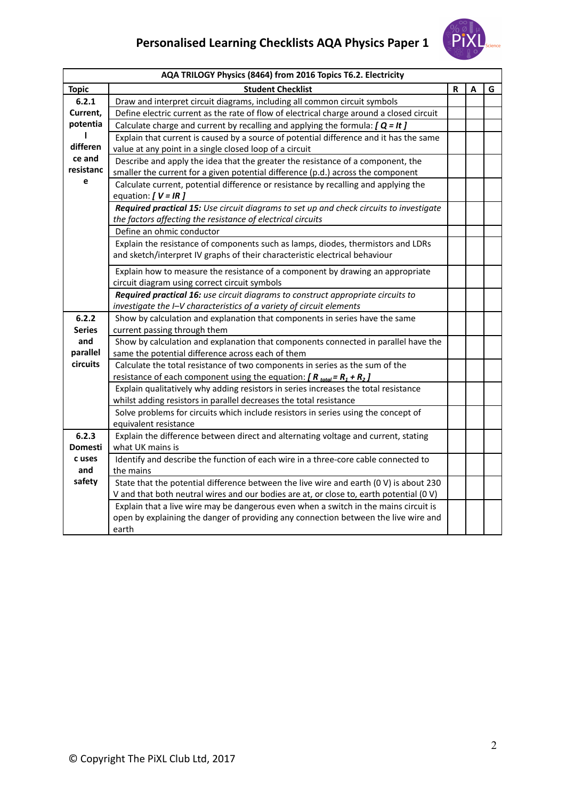

| AQA TRILOGY Physics (8464) from 2016 Topics T6.2. Electricity |                                                                                                                                                                                      |   |   |   |  |
|---------------------------------------------------------------|--------------------------------------------------------------------------------------------------------------------------------------------------------------------------------------|---|---|---|--|
| <b>Topic</b>                                                  | <b>Student Checklist</b>                                                                                                                                                             | R | А | G |  |
| 6.2.1                                                         | Draw and interpret circuit diagrams, including all common circuit symbols                                                                                                            |   |   |   |  |
| Current,                                                      | Define electric current as the rate of flow of electrical charge around a closed circuit                                                                                             |   |   |   |  |
| potentia                                                      | Calculate charge and current by recalling and applying the formula: $[Q = It]$                                                                                                       |   |   |   |  |
| 1                                                             | Explain that current is caused by a source of potential difference and it has the same                                                                                               |   |   |   |  |
| differen                                                      | value at any point in a single closed loop of a circuit                                                                                                                              |   |   |   |  |
| ce and                                                        | Describe and apply the idea that the greater the resistance of a component, the                                                                                                      |   |   |   |  |
| resistanc                                                     | smaller the current for a given potential difference (p.d.) across the component                                                                                                     |   |   |   |  |
| e                                                             | Calculate current, potential difference or resistance by recalling and applying the<br>equation: $[V = IR]$                                                                          |   |   |   |  |
|                                                               | Required practical 15: Use circuit diagrams to set up and check circuits to investigate<br>the factors affecting the resistance of electrical circuits                               |   |   |   |  |
|                                                               | Define an ohmic conductor                                                                                                                                                            |   |   |   |  |
|                                                               | Explain the resistance of components such as lamps, diodes, thermistors and LDRs<br>and sketch/interpret IV graphs of their characteristic electrical behaviour                      |   |   |   |  |
|                                                               | Explain how to measure the resistance of a component by drawing an appropriate<br>circuit diagram using correct circuit symbols                                                      |   |   |   |  |
|                                                               | Required practical 16: use circuit diagrams to construct appropriate circuits to<br>investigate the I-V characteristics of a variety of circuit elements                             |   |   |   |  |
| 6.2.2                                                         | Show by calculation and explanation that components in series have the same                                                                                                          |   |   |   |  |
| <b>Series</b>                                                 | current passing through them                                                                                                                                                         |   |   |   |  |
| and                                                           | Show by calculation and explanation that components connected in parallel have the                                                                                                   |   |   |   |  |
| parallel                                                      | same the potential difference across each of them                                                                                                                                    |   |   |   |  |
| circuits                                                      | Calculate the total resistance of two components in series as the sum of the                                                                                                         |   |   |   |  |
|                                                               | resistance of each component using the equation: $[R_{total} = R_1 + R_2]$                                                                                                           |   |   |   |  |
|                                                               | Explain qualitatively why adding resistors in series increases the total resistance                                                                                                  |   |   |   |  |
|                                                               | whilst adding resistors in parallel decreases the total resistance                                                                                                                   |   |   |   |  |
|                                                               | Solve problems for circuits which include resistors in series using the concept of<br>equivalent resistance                                                                          |   |   |   |  |
| 6.2.3                                                         | Explain the difference between direct and alternating voltage and current, stating                                                                                                   |   |   |   |  |
| Domesti                                                       | what UK mains is                                                                                                                                                                     |   |   |   |  |
| c uses                                                        | Identify and describe the function of each wire in a three-core cable connected to                                                                                                   |   |   |   |  |
| and                                                           | the mains                                                                                                                                                                            |   |   |   |  |
| safety                                                        | State that the potential difference between the live wire and earth (0 V) is about 230                                                                                               |   |   |   |  |
|                                                               | V and that both neutral wires and our bodies are at, or close to, earth potential (0 V)                                                                                              |   |   |   |  |
|                                                               | Explain that a live wire may be dangerous even when a switch in the mains circuit is<br>open by explaining the danger of providing any connection between the live wire and<br>earth |   |   |   |  |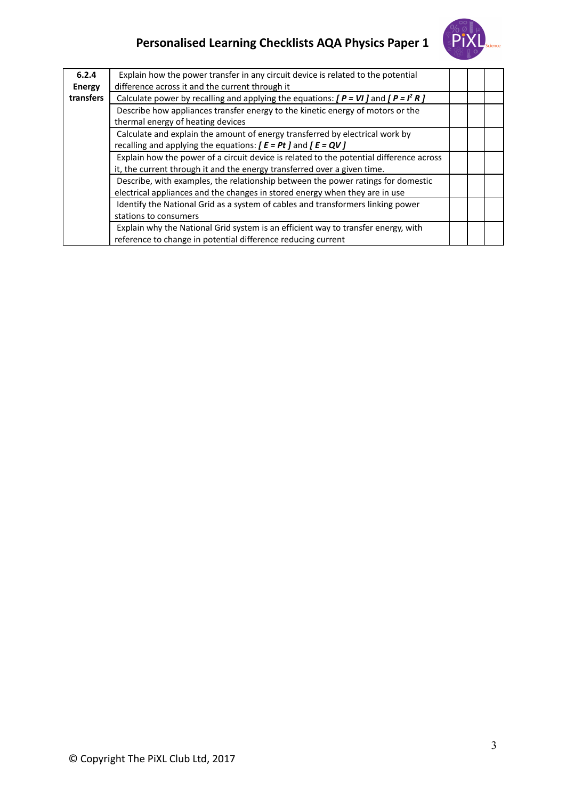

| 6.2.4<br><b>Energy</b> | Explain how the power transfer in any circuit device is related to the potential<br>difference across it and the current through it                                 |  |  |
|------------------------|---------------------------------------------------------------------------------------------------------------------------------------------------------------------|--|--|
| transfers              | Calculate power by recalling and applying the equations: $[ P = VI ]$ and $[ P = I2 R ]$                                                                            |  |  |
|                        | Describe how appliances transfer energy to the kinetic energy of motors or the<br>thermal energy of heating devices                                                 |  |  |
|                        | Calculate and explain the amount of energy transferred by electrical work by<br>recalling and applying the equations: $[ E = Pt ]$ and $[ E = QV ]$                 |  |  |
|                        | Explain how the power of a circuit device is related to the potential difference across<br>it, the current through it and the energy transferred over a given time. |  |  |
|                        | Describe, with examples, the relationship between the power ratings for domestic<br>electrical appliances and the changes in stored energy when they are in use     |  |  |
|                        | Identify the National Grid as a system of cables and transformers linking power<br>stations to consumers                                                            |  |  |
|                        | Explain why the National Grid system is an efficient way to transfer energy, with<br>reference to change in potential difference reducing current                   |  |  |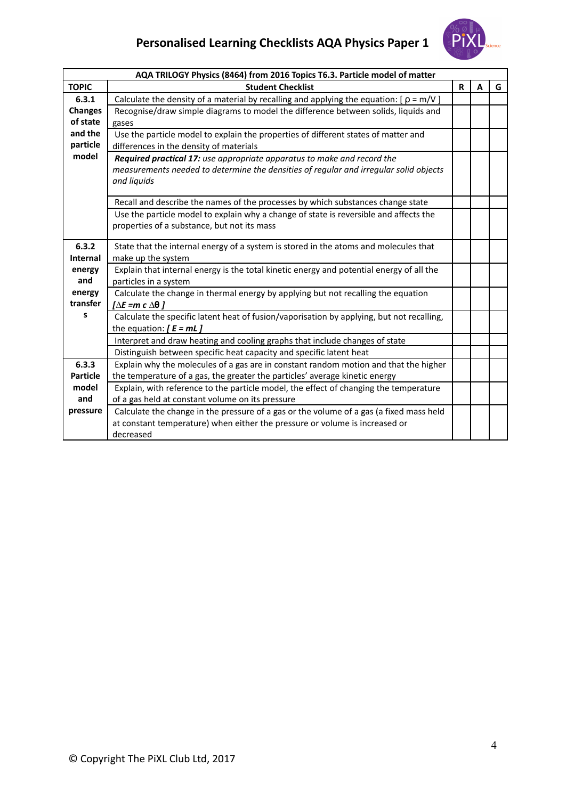

| AQA TRILOGY Physics (8464) from 2016 Topics T6.3. Particle model of matter |                                                                                              |   |   |   |
|----------------------------------------------------------------------------|----------------------------------------------------------------------------------------------|---|---|---|
| <b>TOPIC</b>                                                               | <b>Student Checklist</b>                                                                     | R | A | G |
| 6.3.1                                                                      | Calculate the density of a material by recalling and applying the equation: $[ \rho = m/V ]$ |   |   |   |
| <b>Changes</b>                                                             | Recognise/draw simple diagrams to model the difference between solids, liquids and           |   |   |   |
| of state                                                                   | gases                                                                                        |   |   |   |
| and the                                                                    | Use the particle model to explain the properties of different states of matter and           |   |   |   |
| particle                                                                   | differences in the density of materials                                                      |   |   |   |
| model                                                                      | Required practical 17: use appropriate apparatus to make and record the                      |   |   |   |
|                                                                            | measurements needed to determine the densities of regular and irregular solid objects        |   |   |   |
|                                                                            | and liquids                                                                                  |   |   |   |
|                                                                            |                                                                                              |   |   |   |
|                                                                            | Recall and describe the names of the processes by which substances change state              |   |   |   |
|                                                                            | Use the particle model to explain why a change of state is reversible and affects the        |   |   |   |
|                                                                            | properties of a substance, but not its mass                                                  |   |   |   |
| 6.3.2                                                                      | State that the internal energy of a system is stored in the atoms and molecules that         |   |   |   |
| <b>Internal</b>                                                            | make up the system                                                                           |   |   |   |
| energy                                                                     | Explain that internal energy is the total kinetic energy and potential energy of all the     |   |   |   |
| and                                                                        | particles in a system                                                                        |   |   |   |
| energy                                                                     | Calculate the change in thermal energy by applying but not recalling the equation            |   |   |   |
| transfer                                                                   | $[\Delta E = m c \Delta \theta]$                                                             |   |   |   |
| S                                                                          | Calculate the specific latent heat of fusion/vaporisation by applying, but not recalling,    |   |   |   |
|                                                                            | the equation: $[ E = mL ]$                                                                   |   |   |   |
|                                                                            | Interpret and draw heating and cooling graphs that include changes of state                  |   |   |   |
|                                                                            | Distinguish between specific heat capacity and specific latent heat                          |   |   |   |
| 6.3.3                                                                      | Explain why the molecules of a gas are in constant random motion and that the higher         |   |   |   |
| <b>Particle</b>                                                            | the temperature of a gas, the greater the particles' average kinetic energy                  |   |   |   |
| model                                                                      | Explain, with reference to the particle model, the effect of changing the temperature        |   |   |   |
| and                                                                        | of a gas held at constant volume on its pressure                                             |   |   |   |
| pressure                                                                   | Calculate the change in the pressure of a gas or the volume of a gas (a fixed mass held      |   |   |   |
|                                                                            | at constant temperature) when either the pressure or volume is increased or                  |   |   |   |
|                                                                            | decreased                                                                                    |   |   |   |